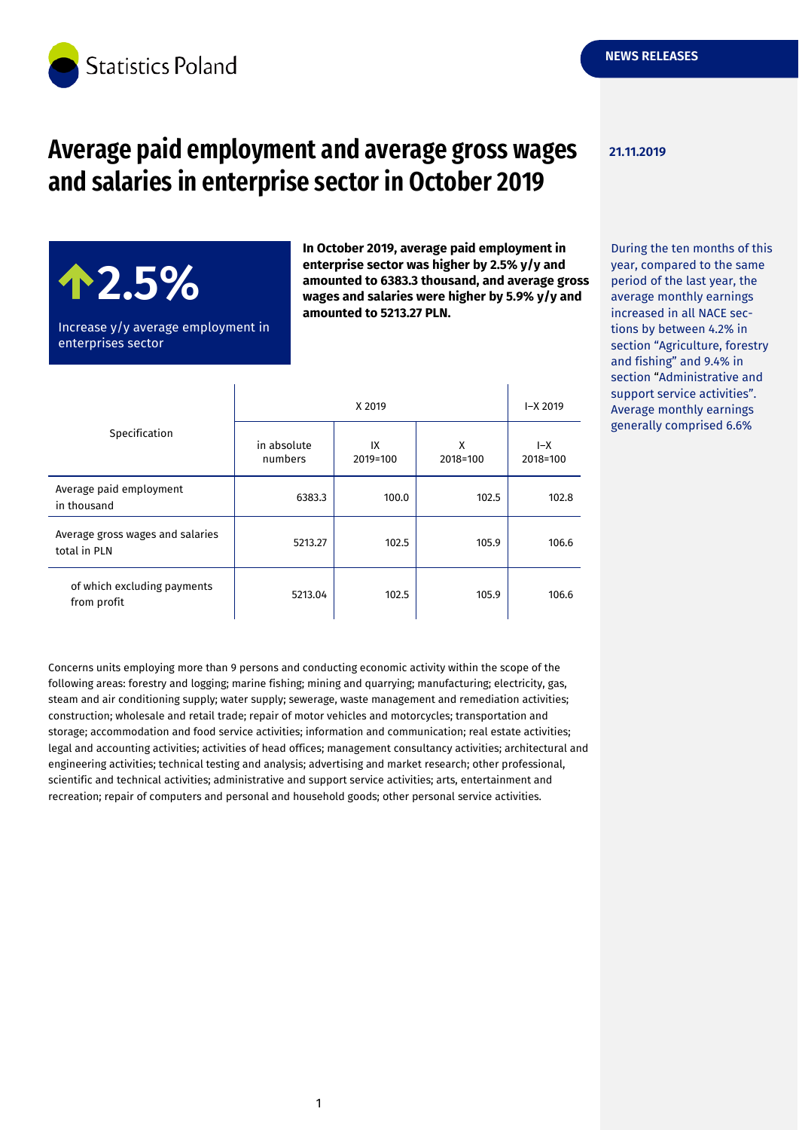

# **Average paid employment and average gross wages and salaries in enterprise sector in October 2019**

**In October 2019, average paid employment in enterprise sector was higher by 2.5% y/y and amounted to 6383.3 thousand, and average gross wages and salaries were higher by 5.9% y/y and**

**amounted to 5213.27 PLN.**

**21.11.2019**

## During the ten months of this year, compared to the same period of the last year, the average monthly earnings increased in all NACE sections by between 4.2% in section "Agriculture, forestry and fishing" and 9.4% in section "Administrative and support service activities". Average monthly earnings

generally comprised 6.6%

Increase y/y average employment in enterprises sector

**2.5%**

| Specification                                    | X 2019                 |                |               | $-X 2019$         |
|--------------------------------------------------|------------------------|----------------|---------------|-------------------|
|                                                  | in absolute<br>numbers | IX<br>2019=100 | x<br>2018=100 | $I-X$<br>2018=100 |
| Average paid employment<br>in thousand           | 6383.3                 | 100.0          | 102.5         | 102.8             |
| Average gross wages and salaries<br>total in PLN | 5213.27                | 102.5          | 105.9         | 106.6             |
| of which excluding payments<br>from profit       | 5213.04                | 102.5          | 105.9         | 106.6             |

Concerns units employing more than 9 persons and conducting economic activity within the scope of the following areas: forestry and logging; marine fishing; mining and quarrying; manufacturing; electricity, gas, steam and air conditioning supply; water supply; sewerage, waste management and remediation activities; construction; wholesale and retail trade; repair of motor vehicles and motorcycles; transportation and storage; accommodation and food service activities; information and communication; real estate activities; legal and accounting activities; activities of head offices; management consultancy activities; architectural and engineering activities; technical testing and analysis; advertising and market research; other professional, scientific and technical activities; administrative and support service activities; arts, entertainment and recreation; repair of computers and personal and household goods; other personal service activities.